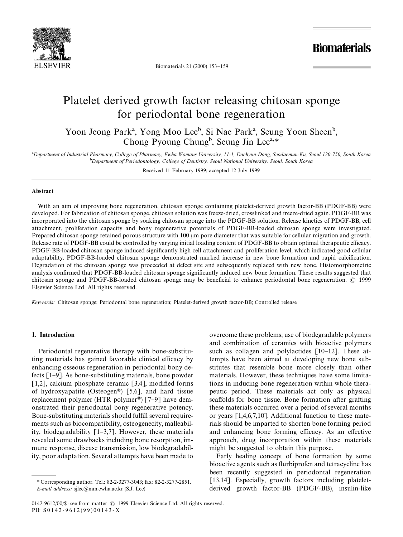

Biomaterials 21 (2000) 153-159

**Biomaterials** 

# Platelet derived growth factor releasing chitosan sponge for periodontal bone regeneration

Yoon Jeong Park<sup>a</sup>, Yong Moo Lee<sup>b</sup>, Si Nae Park<sup>a</sup>, Seung Yoon Sheen<sup>b</sup>, Chong Pyoung Chung<sup>b</sup>, Seung Jin Lee<sup>a,\*</sup>

!*Department of Industrial Pharmacy, College of Pharmacy, Ewha Womans University, 11-1, Daehyun-Dong, Seodaemun-Ku, Seoul 120-750, South Korea* "*Department of Periodontology, College of Dentistry, Seoul National University, Seoul, South Korea*

Received 11 February 1999; accepted 12 July 1999

## Abstract

With an aim of improving bone regeneration, chitosan sponge containing platelet-derived growth factor-BB (PDGF-BB) were developed. For fabrication of chitosan sponge, chitosan solution was freeze-dried, crosslinked and freeze-dried again. PDGF-BB was incorporated into the chitosan sponge by soaking chitosan sponge into the PDGF-BB solution. Release kinetics of PDGF-BB, cell attachment, proliferation capacity and bony regenerative potentials of PDGF-BB-loaded chitosan sponge were investigated. Prepared chitosan sponge retained porous structure with 100  $\mu$ m pore diameter that was suitable for cellular migration and growth. Release rate of PDGF-BB could be controlled by varying initial loading content of PDGF-BB to obtain optimal therapeutic efficacy. PDGF-BB-loaded chitosan sponge induced significantly high cell attachment and proliferation level, which indicated good cellular adaptability. PDGF-BB-loaded chitosan sponge demonstrated marked increase in new bone formation and rapid calcification. Degradation of the chitosan sponge was proceeded at defect site and subsequently replaced with new bone. Histomorphometric analysis confirmed that PDGF-BB-loaded chitosan sponge significantly induced new bone formation. These results suggested that chitosan sponge and PDGF-BB-loaded chitosan sponge may be beneficial to enhance periodontal bone regeneration.  $\odot$  1999 Elsevier Science Ltd. All rights reserved.

*Keywords:* Chitosan sponge; Periodontal bone regeneration; Platelet-derived growth factor-BB; Controlled release

# 1. Introduction

Periodontal regenerative therapy with bone-substituting materials has gained favorable clinical efficacy by enhancing osseous regeneration in periodontal bony defects [1-9]. As bone-substituting materials, bone powder [1,2], calcium phosphate ceramic [3,4], modified forms of hydroxyapatite (Osteogen<sup>®</sup>) [5,6], and hard tissue replacement polymer (HTR polymer<sup>®</sup>) [7–9] have demonstrated their periodontal bony regenerative potency. Bone-substituting materials should fulfill several requirements such as biocompatibility, osteogenecity, malleability, biodegradability  $[1-3,7]$ . However, these materials revealed some drawbacks including bone resorption, immune response, disease transmission, low biodegradability, poor adaptation. Several attempts have been made to overcome these problems; use of biodegradable polymers and combination of ceramics with bioactive polymers such as collagen and polylactides  $[10-12]$ . These attempts have been aimed at developing new bone substitutes that resemble bone more closely than other materials. However, these techniques have some limitations in inducing bone regeneration within whole therapeutic period. These materials act only as physical scaffolds for bone tissue. Bone formation after grafting these materials occurred over a period of several months or years [1,4,6,7,10]. Additional function to these materials should be imparted to shorten bone forming period and enhancing bone forming efficacy. As an effective approach, drug incorporation within these materials might be suggested to obtain this purpose.

Early healing concept of bone formation by some bioactive agents such as flurbiprofen and tetracycline has been recently suggested in periodontal regeneration [13,14]. Especially, growth factors including plateletderived growth factor-BB (PDGF-BB), insulin-like

*<sup>\*</sup>* Corresponding author. Tel.: 82-2-3277-3043; fax: 82-2-3277-2851. *E-mail address:* sjlee@mm.ewha.ac.kr (S.J. Lee)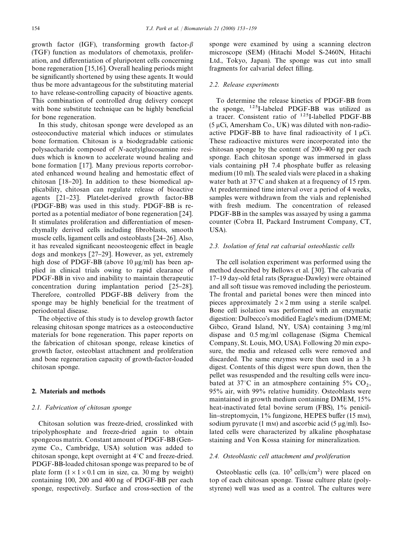growth factor (IGF), transforming growth factor- $\beta$ (TGF) function as modulators of chemotaxis, proliferation, and differentiation of pluripotent cells concerning bone regeneration [15,16]. Overall healing periods might be significantly shortened by using these agents. It would thus be more advantageous for the substituting material to have release-controlling capacity of bioactive agents. This combination of controlled drug delivery concept with bone substitute technique can be highly beneficial for bone regeneration.

In this study, chitosan sponge were developed as an osteoconductive material which induces or stimulates bone formation. Chitosan is a biodegradable cationic polysaccharide composed of *N*-acetylglucosamine residues which is known to accelerate wound healing and bone formation [17]. Many previous reports corroborated enhanced wound healing and hemostatic effect of chitosan  $[18-20]$ . In addition to these biomedical applicability, chitosan can regulate release of bioactive agents  $[21-23]$ . Platelet-derived growth factor-BB (PDGF-BB) was used in this study. PDGF-BB is reported as a potential mediator of bone regeneration [24]. It stimulates proliferation and differentiation of mesenchymally derived cells including fibroblasts, smooth muscle cells, ligament cells and osteoblasts [24-26]. Also, it has revealed significant neoosteogenic effect in beagle dogs and monkeys  $[27-29]$ . However, as yet, extremely high dose of PDGF-BB (above 10  $\mu$ g/ml) has been applied in clinical trials owing to rapid clearance of PDGF-BB in vivo and inability to maintain therapeutic concentration during implantation period  $[25-28]$ . Therefore, controlled PDGF-BB delivery from the sponge may be highly beneficial for the treatment of periodontal disease.

The objective of this study is to develop growth factor releasing chitosan sponge matrices as a osteoconductive materials for bone regeneration. This paper reports on the fabrication of chitosan sponge, release kinetics of growth factor, osteoblast attachment and proliferation and bone regeneration capacity of growth-factor-loaded chitosan sponge.

# 2. Materials and methods

#### *2.1. Fabrication of chitosan sponge*

Chitosan solution was freeze-dried, crosslinked with tripolyphosphate and freeze-dried again to obtain spongeous matrix. Constant amount of PDGF-BB (Genzyme Co., Cambridge, USA) solution was added to chitosan sponge, kept overnight at  $4^{\circ}$ C and freeze-dried. PDGF-BB-loaded chitosan sponge was prepared to be of plate form  $(1 \times 1 \times 0.1$  cm in size, ca. 30 mg by weight) containing 100, 200 and 400 ng of PDGF-BB per each sponge, respectively. Surface and cross-section of the sponge were examined by using a scanning electron microscope (SEM) (Hitachi Model S-2460N, Hitachi Ltd., Tokyo, Japan). The sponge was cut into small fragments for calvarial defect filling.

#### *2.2. Release experiments*

To determine the release kinetics of PDGF-BB from the sponge, 125I-labeled PDGF-BB was utilized as a tracer. Consistent ratio of  $^{125}$ I-labelled PDGF-BB  $(5 \mu Ci,$  Amersham Co., UK) was diluted with non-radioactive PDGF-BB to have final radioactivity of  $1 \mu$ Ci. These radioactive mixtures were incorporated into the chitosan sponge by the content of  $200-400$  ng per each sponge. Each chitosan sponge was immersed in glass vials containing  $pH$  7.4 phosphate buffer as releasing medium (10 ml). The sealed vials were placed in a shaking water bath at  $37^{\circ}$ C and shaken at a frequency of 15 rpm. At predetermined time interval over a period of 4 weeks, samples were withdrawn from the vials and replenished with fresh medium. The concentration of released PDGF-BB in the samples was assayed by using a gamma counter (Cobra II, Packard Instrument Company, CT, USA).

## *2.3. Isolation of fetal rat calvarial osteoblastic cells*

The cell isolation experiment was performed using the method described by Bellows et al. [30]. The calvaria of 17}19 day-old fetal rats (Sprague-Dawley) were obtained and all soft tissue was removed including the periosteum. The frontal and parietal bones were then minced into pieces approximately  $2 \times 2$  mm using a sterile scalpel. Bone cell isolation was performed with an enzymatic digestion: Dulbecco's modified Eagle's medium (DMEM; Gibco, Grand Island, NY, USA) containing 3 mg/ml dispase and 0.5 mg/ml collagenase (Sigma Chemical Company, St. Louis, MO, USA). Following 20 min exposure, the media and released cells were removed and discarded. The same enzymes were then used in a 3 h digest. Contents of this digest were spun down, then the pellet was resuspended and the resulting cells were incubated at 37°C in an atmosphere containing  $5\%$  CO<sub>2</sub>, 95% air, with 99% relative humidity. Osteoblasts were maintained in growth medium containing DMEM, 15% heat-inactivated fetal bovine serum (FBS), 1% penicillin-streptomycin, 1% fungizone, HEPES buffer (15 mm), sodium pyruvate (1 mm) and ascorbic acid (5  $\mu$ g/ml). Isolated cells were characterized by alkaline phosphatase staining and Von Kossa staining for mineralization.

#### *2.4. Osteoblastic cell attachment and proliferation*

Osteoblastic cells (ca.  $10^5$  cells/cm<sup>2</sup>) were placed on top of each chitosan sponge. Tissue culture plate (polystyrene) well was used as a control. The cultures were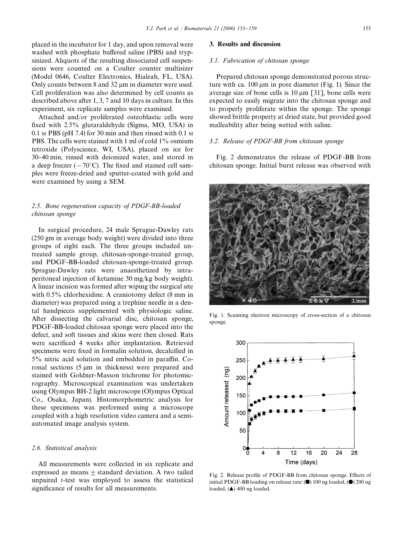placed in the incubator for 1 day, and upon removal were washed with phosphate buffered saline (PBS) and trypsinized. Aliquots of the resulting dissociated cell suspensions were counted on a Coulter counter multisizer (Model 0646, Coulter Electronics, Hialeah, FL, USA). Only counts between  $8$  and  $32 \mu m$  in diameter were used. Cell proliferation was also determined by cell counts as described above after 1, 3, 7 and 10 days in culture. In this experiment, six replicate samples were examined.

Attached and/or proliferated osteoblastic cells were fixed with  $2.5\%$  glutaraldehyde (Sigma, MO, USA) in  $0.1 \text{ M }$  PBS (pH 7.4) for 30 min and then rinsed with 0.1 M PBS. The cells were stained with 1 ml of cold 1% osmium tetroxide (Polyscience, WI, USA), placed on ice for 30}40 min, rinsed with deionized water, and stored in a deep freezer  $(-70^{\circ}C)$ . The fixed and stained cell samples were freeze-dried and sputter-coated with gold and were examined by using a SEM.

# *2.5. Bone regeneration capacity of PDGF-BB-loaded chitosan sponge*

In surgical procedure, 24 male Sprague-Dawley rats (250 gm in average body weight) were divided into three groups of eight each. The three groups included untreated sample group, chitosan-sponge-treated group, and PDGF-BB-loaded chitosan-sponge-treated group. Sprague-Dawley rats were anaesthetized by intraperitoneal injection of ketamine 30 mg/kg body weight). A linear incision was formed after wiping the surgical site with 0.5% chlorhexidine. A craniotomy defect (8 mm in diameter) was prepared using a trephine needle in a dental handpieces supplemented with physiologic saline. After dissecting the calvarial disc, chitosan sponge, PDGF-BB-loaded chitosan sponge were placed into the defect, and soft tissues and skins were then closed. Rats were sacrificed 4 weeks after implantation. Retrieved specimens were fixed in formalin solution, decalcified in  $5\%$  nitric acid solution and embedded in paraffin. Coronal sections  $(5 \mu m)$  in thickness) were prepared and stained with Goldner-Masson trichrome for photomicrography. Microscopical examination was undertaken using Olympus BH-2 light microscope (Olympus Optical Co., Osaka, Japan). Histomorphometric analysis for these specimens was performed using a microscope coupled with a high resolution video camera and a semiautomated image analysis system.

## *2.6. Statistical analysis*

All measurements were collected in six replicate and expressed as means  $+$  standard deviation. A two tailed unpaired *t*-test was employed to assess the statistical significance of results for all measurements.

#### 3. Results and discussion

## *3.1. Fabrication of chitosan sponge*

Prepared chitosan sponge demonstrated porous structure with ca.  $100 \mu m$  in pore diameter (Fig. 1). Since the average size of bone cells is  $10 \mu m$  [31], bone cells were expected to easily migrate into the chitosan sponge and to properly proliferate within the sponge. The sponge showed brittle property at dried state, but provided good malleability after being wetted with saline.

## *3.2. Release of PDGF-BB from chitosan sponge*

Fig. 2 demonstrates the release of PDGF-BB from chitosan sponge. Initial burst release was observed with



Fig. 1. Scanning electron microscopy of cross-section of a chitosan sponge.



Fig. 2. Release profile of PDGF-BB from chitosan sponge. Effects of initial PDGF-BB loading on release rate:  $($   $)$  100 ng loaded,  $($   $)$  200 ng loaded, (A) 400 ng loaded.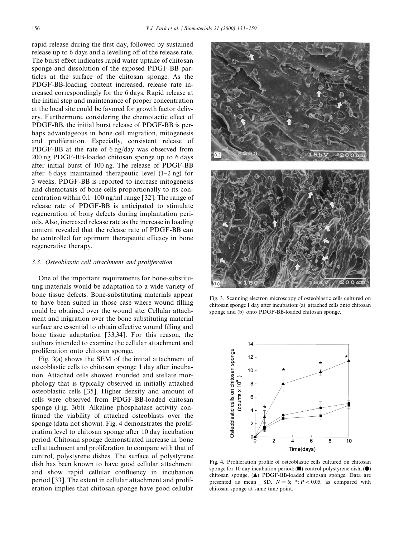rapid release during the first day, followed by sustained release up to 6 days and a levelling off of the release rate. The burst effect indicates rapid water uptake of chitosan sponge and dissolution of the exposed PDGF-BB particles at the surface of the chitosan sponge. As the PDGF-BB-loading content increased, release rate increased correspondingly for the 6 days. Rapid release at the initial step and maintenance of proper concentration at the local site could be favored for growth factor delivery. Furthermore, considering the chemotactic effect of PDGF-BB, the initial burst release of PDGF-BB is perhaps advantageous in bone cell migration, mitogenesis and proliferation. Especially, consistent release of PDGF-BB at the rate of 6 ng/day was observed from 200 ng PDGF-BB-loaded chitosan sponge up to 6 days after initial burst of 100 ng. The release of PDGF-BB after 6 days maintained therapeutic level  $(1-2 \text{ ng})$  for 3 weeks. PDGF-BB is reported to increase mitogenesis and chemotaxis of bone cells proportionally to its concentration within 0.1–100 ng/ml range [32]. The range of release rate of PDGF-BB is anticipated to stimulate regeneration of bony defects during implantation periods. Also, increased release rate as the increase in loading content revealed that the release rate of PDGF-BB can be controlled for optimum therapeutic efficacy in bone regenerative therapy.

#### *3.3. Osteoblastic cell attachment and proliferation*

One of the important requirements for bone-substituting materials would be adaptation to a wide variety of bone tissue defects. Bone-substituting materials appear to have been suited in those case where wound filling could be obtained over the wound site. Cellular attachment and migration over the bone substituting material surface are essential to obtain effective wound filling and bone tissue adaptation [33,34]. For this reason, the authors intended to examine the cellular attachment and proliferation onto chitosan sponge.

Fig. 3(a) shows the SEM of the initial attachment of osteoblastic cells to chitosan sponge 1 day after incubation. Attached cells showed rounded and stellate morphology that is typically observed in initially attached osteoblastic cells [35]. Higher density and amount of cells were observed from PDGF-BB-loaded chitosan sponge (Fig. 3(b)). Alkaline phosphatase activity con firmed the viability of attached osteoblasts over the sponge (data not shown). Fig. 4 demonstrates the proliferation level to chitosan sponge after 10 day incubation period. Chitosan sponge demonstrated increase in bone cell attachment and proliferation to compare with that of control, polystyrene dishes. The surface of polystyrene dish has been known to have good cellular attachment and show rapid cellular confluency in incubation period [33]. The extent in cellular attachment and proliferation implies that chitosan sponge have good cellular



Fig. 3. Scanning electron microscopy of osteoblastic cells cultured on chitosan sponge 1 day after incubation: (a) attached cells onto chitosan sponge and (b) onto PDGF-BB-loaded chitosan sponge.



Fig. 4. Proliferation profile of osteoblastic cells cultured on chitosan sponge for 10 day incubation period:  $(\blacksquare)$  control polystyrene dish,  $(\lozenge)$ chitosan sponge, (A) PDGF-BB-loaded chitosan sponge. Data are presented as mean  $\pm$  SD,  $N = 6$ ;  $* : P < 0.05$ , as compared with chitosan sponge at same time point.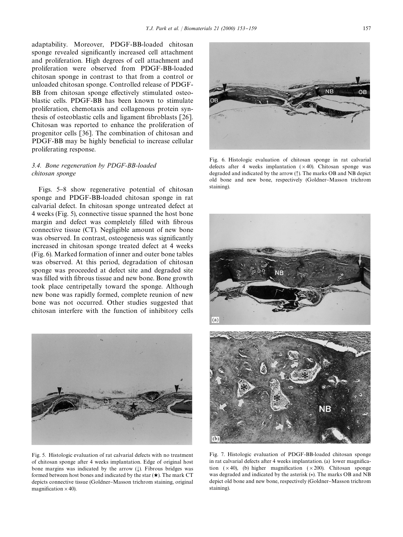adaptability. Moreover, PDGF-BB-loaded chitosan sponge revealed significantly increased cell attachment and proliferation. High degrees of cell attachment and proliferation were observed from PDGF-BB-loaded chitosan sponge in contrast to that from a control or unloaded chitosan sponge. Controlled release of PDGF-BB from chitosan sponge effectively stimulated osteoblastic cells. PDGF-BB has been known to stimulate proliferation, chemotaxis and collagenous protein synthesis of osteoblastic cells and ligament fibroblasts [26]. Chitosan was reported to enhance the proliferation of progenitor cells [36]. The combination of chitosan and PDGF-BB may be highly beneficial to increase cellular proliferating response.

# *3.4. Bone regeneration by PDGF-BB-loaded chitosan sponge*

Figs. 5–8 show regenerative potential of chitosan sponge and PDGF-BB-loaded chitosan sponge in rat calvarial defect. In chitosan sponge untreated defect at 4 weeks (Fig. 5), connective tissue spanned the host bone margin and defect was completely filled with fibrous connective tissue (CT). Negligible amount of new bone was observed. In contrast, osteogenesis was significantly increased in chitosan sponge treated defect at 4 weeks (Fig. 6). Marked formation of inner and outer bone tables was observed. At this period, degradation of chitosan sponge was proceeded at defect site and degraded site was filled with fibrous tissue and new bone. Bone growth took place centripetally toward the sponge. Although new bone was rapidly formed, complete reunion of new bone was not occurred. Other studies suggested that chitosan interfere with the function of inhibitory cells



Fig. 5. Histologic evaluation of rat calvarial defects with no treatment of chitosan sponge after 4 weeks implantation. Edge of original host bone margins was indicated by the arrow  $(L)$ . Fibrous bridges was formed between host bones and indicated by the star  $(\star)$ . The mark CT depicts connective tissue (Goldner-Masson trichrom staining, original magnification  $\times$  40).



Fig. 6. Histologic evaluation of chitosan sponge in rat calvarial defects after 4 weeks implantation  $(x40)$ . Chitosan sponge was degraded and indicated by the arrow (1). The marks OB and NB depict old bone and new bone, respectively (Goldner-Masson trichrom staining).



Fig. 7. Histologic evaluation of PDGF-BB-loaded chitosan sponge in rat calvarial defects after 4 weeks implantation. (a) lower magnification  $(x40)$ , (b) higher magnification  $(x200)$ . Chitosan sponge was degraded and indicated by the asterisk (*\**). The marks OB and NB depict old bone and new bone, respectively (Goldner-Masson trichrom staining).

(b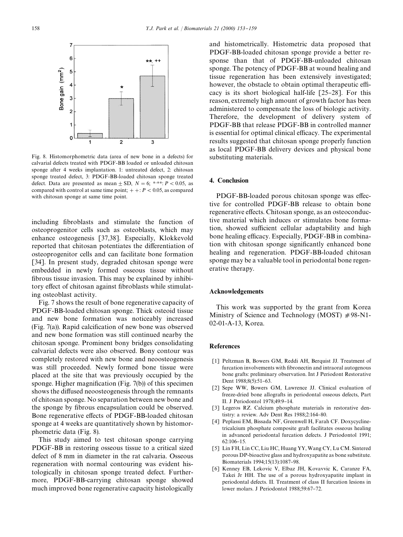

Fig. 8. Histomorphometric data (area of new bone in a defects) for calvarial defects treated with PDGF-BB loaded or unloaded chitosan sponge after 4 weeks implantation. 1: untreated defect, 2: chitosan sponge treated defect, 3: PDGF-BB-loaded chitosan sponge treated defect. Data are presented as mean  $\pm$  SD,  $N = 6$ ; \*\*\*;  $P < 0.05$ , as compared with control at same time point;  $+ + : P < 0.05$ , as compared with chitosan sponge at same time point.

including fibroblasts and stimulate the function of osteoprogenitor cells such as osteoblasts, which may enhance osteogenesis [37,38]. Especially, Klokkevold reported that chitosan potentiates the differentiation of osteoprogenitor cells and can facilitate bone formation [34]. In present study, degraded chitosan sponge were embedded in newly formed osseous tissue without fibrous tissue invasion. This may be explained by inhibitory effect of chitosan against fibroblasts while stimulating osteoblast activity.

Fig. 7 shows the result of bone regenerative capacity of PDGF-BB-loaded chitosan sponge. Thick osteoid tissue and new bone formation was noticeably increased (Fig. 7(a)). Rapid calcification of new bone was observed and new bone formation was still continued nearby the chitosan sponge. Prominent bony bridges consolidating calvarial defects were also observed. Bony contour was completely restored with new bone and neoosteogenesis was still proceeded. Newly formed bone tissue were placed at the site that was previously occupied by the sponge. Higher magnification (Fig.  $7(b)$ ) of this specimen shows the diffused neoosteogenesis through the remnants of chitosan sponge. No separation between new bone and the sponge by fibrous encapsulation could be observed. Bone regenerative effects of PDGF-BB-loaded chitosan sponge at 4 weeks are quantitatively shown by histomorphometric data (Fig. 8).

This study aimed to test chitosan sponge carrying PDGF-BB in restoring osseous tissue to a critical sized defect of 8 mm in diameter in the rat calvaria. Osseous regeneration with normal contouring was evident histologically in chitosan sponge treated defect. Furthermore, PDGF-BB-carrying chitosan sponge showed much improved bone regenerative capacity histologically and histometrically. Histometric data proposed that PDGF-BB-loaded chitosan sponge provide a better response than that of PDGF-BB-unloaded chitosan sponge. The potency of PDGF-BB at wound healing and tissue regeneration has been extensively investigated; however, the obstacle to obtain optimal therapeutic efficacy is its short biological half-life  $[25-28]$ . For this reason, extremely high amount of growth factor has been administered to compensate the loss of biologic activity. Therefore, the development of delivery system of PDGF-BB that release PDGF-BB in controlled manner is essential for optimal clinical efficacy. The experimental results suggested that chitosan sponge properly function as local PDGF-BB delivery devices and physical bone substituting materials.

# 4. Conclusion

PDGF-BB-loaded porous chitosan sponge was effective for controlled PDGF-BB release to obtain bone regenerative effects. Chitosan sponge, as an osteoconductive material which induces or stimulates bone formation, showed sufficient cellular adaptability and high bone healing efficacy. Especially, PDGF-BB in combination with chitosan sponge significantly enhanced bone healing and regeneration. PDGF-BB-loaded chitosan sponge may be a valuable tool in periodontal bone regenerative therapy.

## Acknowledgements

This work was supported by the grant from Korea Ministry of Science and Technology (MOST)  $#98-N1$ -02-01-A-13, Korea.

#### References

- [1] Peltzman B, Bowers GM, Reddi AH, Berquist JJ. Treatment of furcation involvements with fibronectin and intraoral autogenous bone grafts: preliminary observation. Int J Periodont Restorative Dent 1988;8(5):51-63.
- [2] Sepe WW, Bowers GM, Lawrence JJ. Clinical evaluation of freeze-dried bone allografts in periodontal osseous defects, Part II. J Periodontol 1978;49:9-14.
- [3] Legeros RZ. Calcium phosphate materials in restorative dentistry: a review. Adv Dent Res  $1988;2:164-80$ .
- [4] Peplassi EM, Bissada NF, Greenwell H, Farah CF. Doxycyclinetricalcium phosphate composite graft facilitates osseous healing in advanced periodontal furcation defects. J Periodontol 1991;  $62:106 - 15$ .
- [5] Lin FH, Lin CC, Liu HC, Huang YY, Wang CY, Lu CM. Sintered porous DP-bioactive glass and hydroxyapatite as bone substitute. Biomaterials 1994;15(13):1087-98.
- [6] Kenney EB, Lekovic V, Elbaz JH, Kovavvic K, Caranze FA, Takei Jr HH. The use of a porous hydroxyapatite implant in periodontal defects. II. Treatment of class II furcation lesions in lower molars. J Periodontol 1988;59:67-72.